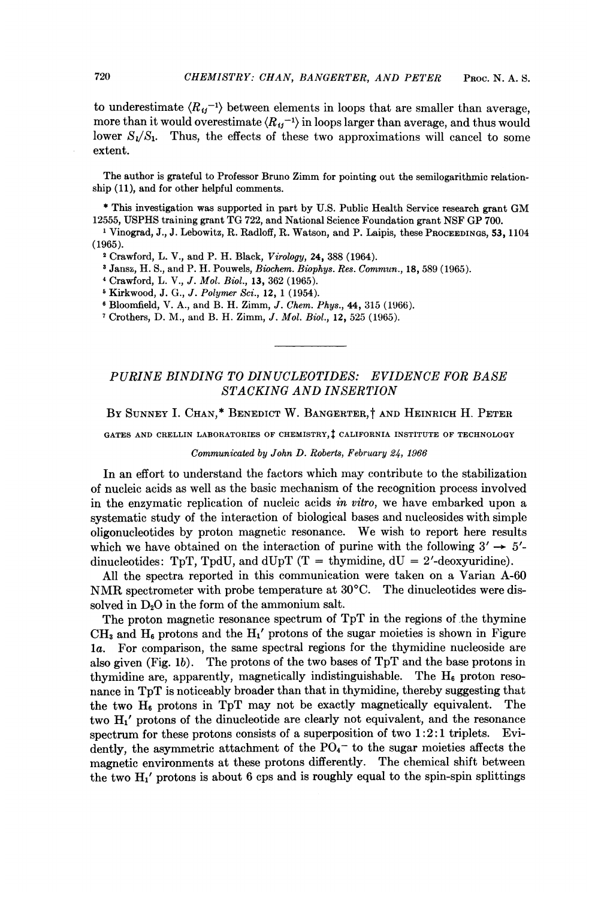to underestimate  $\langle R_{ij}^{-1} \rangle$  between elements in loops that are smaller than average, more than it would overestimate  $\langle R_{\ell\ell}^{-1} \rangle$  in loops larger than average, and thus would lower  $S_i/S_i$ . Thus, the effects of these two approximations will cancel to some extent.

The author is grateful to Professor Bruno Zimm for pointing out the semilogarithmic relationship (11), and for other helpful comments.

\* This investigation was supported in part by U.S. Public Health Service research grant GM 12555, USPHS training grant TG 722, and National Science Foundation grant NSF GP 700.

<sup>1</sup> Vinograd, J., J. Lebowitz, R. Radloff, R. Watson, and P. Laipis, these PROCEEDINGS, 53, 1104 (1965).

<sup>2</sup> Crawford, L. V., and P. H. Black, Virology, 24, 388 (1964).

<sup>3</sup> Jansz, H. S., and P. H. Pouwels, Biochem. Biophys. Res. Commun., 18, 589 (1965).

<sup>4</sup> Crawford, L. V., J. Mol. Biol., 13, 362 (1965).

<sup>5</sup> Kirkwood, J. G., *J. Polymer Sci.*, 12, 1 (1954).

<sup>6</sup> Bloomfield, V. A., and B. H. Zimm, J. Chem. Phys., 44, 315 (1966).

<sup>7</sup> Crothers, D. M., and B. H. Zimm, J. Mol. Biol., 12, 525 (1965).

# PURINE BINDING TO DINUCLEOTIDES: EVIDENCE FOR BASE STACKING AND INSERTION

### BY SUNNEY I. CHAN,\* BENEDICT W. BANGERTER,† AND HEINRICH H. PETER

GATES AND CRELLIN LABORATORIES OF CHEMISTRY,<sup>†</sup> CALIFORNIA INSTITUTE OF TECHNOLOGY

#### Communicated by John D. Roberts, February 24, 1966

In an effort to understand the factors which may contribute to the stabilization of nucleic acids as well as the basic mechanism of the recognition process involved in the enzymatic replication of nucleic acids in vitro, we have embarked upon a systematic study of the interaction of biological bases and nucleosides with simple oligonucleotides by proton magnetic resonance. We wish to report here results which we have obtained on the interaction of purine with the following  $3' \rightarrow 5'$ dinucleotides: TpT, TpdU, and dUpT  $(T = thymidine, dU = 2'-deoxyuridine)$ .

All the spectra reported in this communication were taken on a Varian A-60 NMR spectrometer with probe temperature at  $30^{\circ}$ C. The dinucleotides were dissolved in  $D_2O$  in the form of the ammonium salt.

The proton magnetic resonance spectrum of TpT in the regions of the thymine  $CH_3$  and  $H_6$  protons and the  $H_1'$  protons of the sugar moieties is shown in Figure la. For comparison, the same spectral regions for the thymidine nucleoside are also given (Fig. lb). The protons of the two bases of TpT and the base protons in thymidine are, apparently, magnetically indistinguishable. The  $H_6$  proton resonance in TpT is noticeably broader than that in thymidine, thereby suggesting that the two  $H_6$  protons in TpT may not be exactly magnetically equivalent. The two H<sub>1</sub>' protons of the dinucleotide are clearly not equivalent, and the resonance spectrum for these protons consists of a superposition of two <sup>1</sup> :2: <sup>1</sup> triplets. Evidently, the asymmetric attachment of the  $PO<sub>4</sub>$ <sup>-</sup> to the sugar moieties affects the magnetic environments at these protons differently. The chemical shift between the two  $H_1'$  protons is about 6 cps and is roughly equal to the spin-spin splittings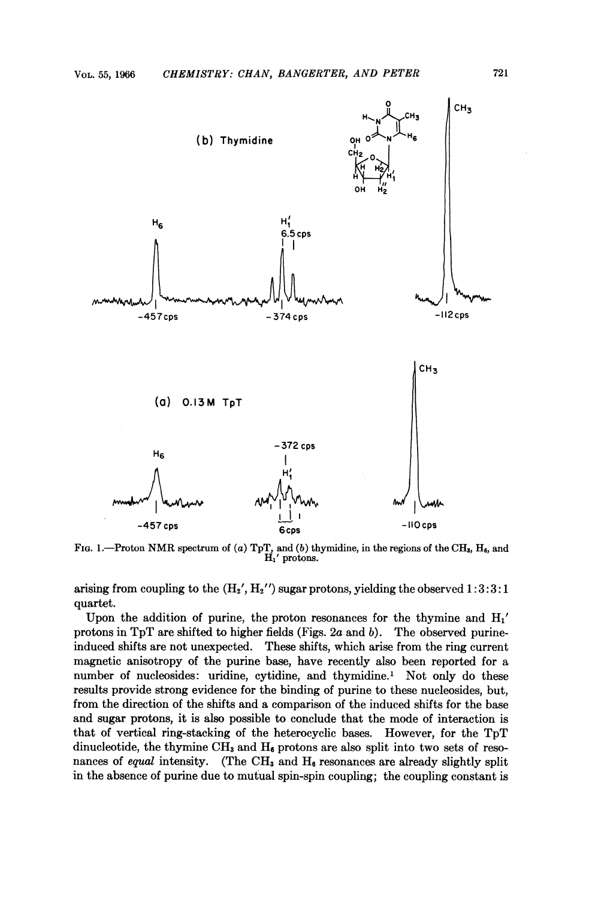

FIG. 1.—Proton NMR spectrum of (a) TpT, and (b) thymidine, in the regions of the CH<sub>3</sub>, H<sub>6</sub>, and H<sub>1</sub>' protons.

arising from coupling to the  $(H_2', H_2'')$  sugar protons, yielding the observed  $1:3:3:1$ quartet.

Upon the addition of purine, the proton resonances for the thymine and  $H_1'$ protons in TpT are shifted to higher fields (Figs. 2a and  $b$ ). The observed purineinduced shifts are not unexpected. These shifts, which arise from the ring current magnetic anisotropy of the purine base, have recently also been reported for a number of nucleosides: uridine, cytidine, and thymidine.<sup>1</sup> Not only do these results provide strong evidence for the binding of purine to these nucleosides, but, from the direction of the shifts and a comparison of the induced shifts for the base and sugar protons, it is also possible to conclude that the mode of interaction is that of vertical ring-stacking of the heterocyclic bases. However, for the TpT dinucleotide, the thymine  $\text{CH}_3$  and  $\text{H}_6$  protons are also split into two sets of resonances of equal intensity. (The CH<sub>3</sub> and  $H_6$  resonances are already slightly split in the absence of purine due to mutual spin-spin coupling; the coupling constant is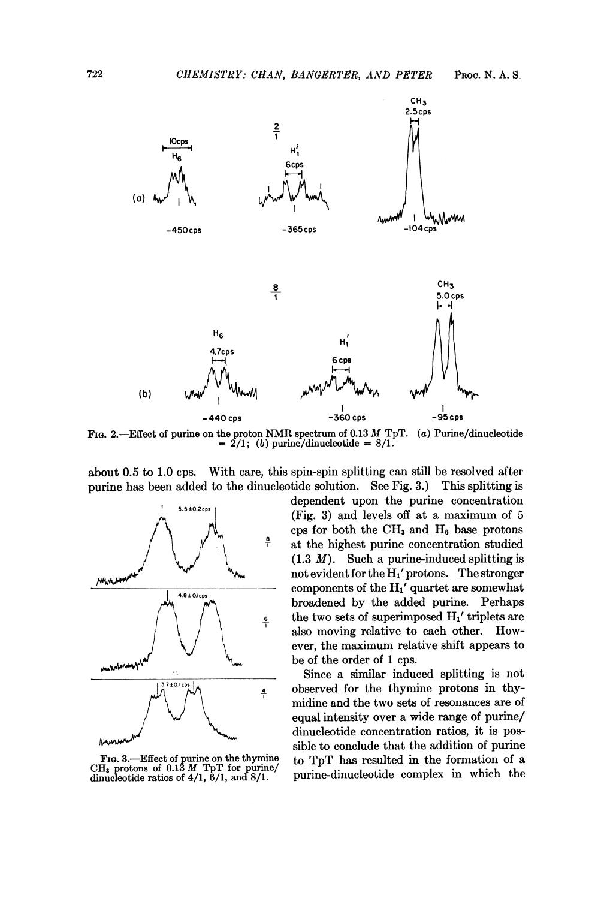

FIG. 2.—Effect of purine on the proton NMR spectrum of 0.13 M TpT. (a) Purine/dinucleotide =  $2/1$ ; (b) purine/dinucleotide =  $8/1$ .

about 0.5 to 1.0 cps. With care, this spin-spin splitting can still be resolved after purine has been added to the dinucleotide solution. See Fig. 3.) This splitting is



dependent upon the purine concentration (Fig. 3) and levels off at a maximum of 5 cps for both the  $CH_3$  and  $H_6$  base protons  $\frac{8}{1}$  at the highest purine concentration studied  $(1.3 \t M)$ . Such a purine-induced splitting is not evident for the H1' protons. The stronger  $\frac{4.8\pm0.1\text{cos}}{2}$  components of the H<sub>1</sub>' quartet are somewhat broadened by the added purine. Perhaps the two sets of superimposed  $H_1'$  triplets are also moving relative to each other. However, the maximum relative shift appears to be of the order of 1 cps.

Since a similar induced splitting is not  $\bigwedge^{\frac{3.7\pm0.1\text{ erg}}{4}}$  observed for the thymine protons in thymidine and the two sets of resonances are of equal intensity over a wide range of purine/ dinucleotide concentration ratios, it is possible to conclude that the addition of purine to TpT has resulted in the formation of a Fig. protons of 0.13 M TpT for purine/ to TpT has resulted in the formation of a<br>CH<sub>3</sub> protons of 0.13 M TpT for purine/ purine-dinucleotide complex in which the<br>dinucleotide ratios of 4/1, 6/1, and 8/1.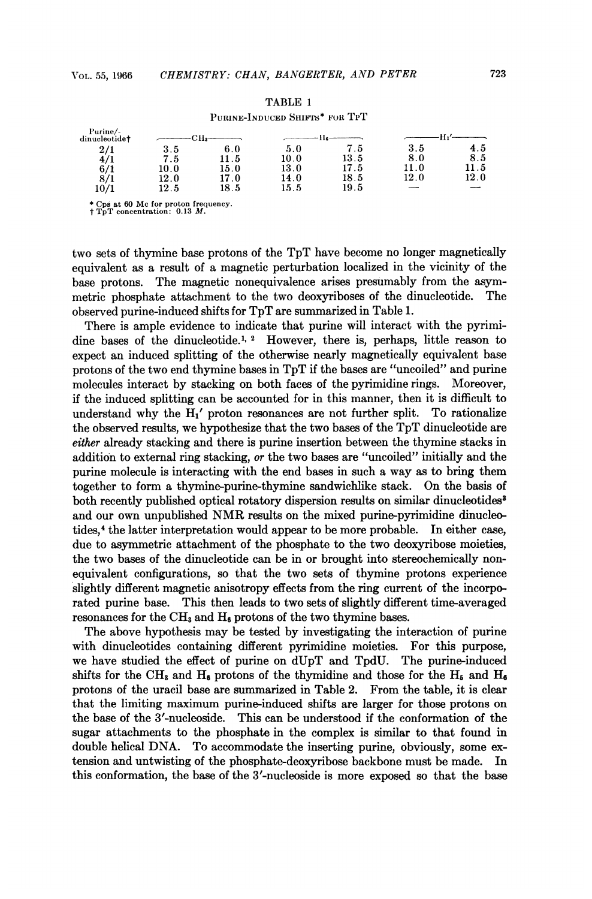| D<br>г<br>ш<br>6 L J |  |
|----------------------|--|
|----------------------|--|

PURINE-INDUCED SHIFTS\* FOR TPT

|                           |          |      | PURINE-INDUCED SHIFTS FOR IFI       |      |      |      |
|---------------------------|----------|------|-------------------------------------|------|------|------|
| Purine/-<br>dinucleotidet |          |      | provided and continued to the first |      |      |      |
| 2/1                       | 3.5      | 6.0  | 5.0                                 | 7.5  | 3.5  | 4.5  |
| 4/1                       | 7.5      | 11.5 | 10.0                                | 13.5 | 8.0  | 8.5  |
| 6/1                       | 10.0     | 15.0 | $13.0\,$                            | 17.5 | 11.0 | 11.5 |
| 8/1                       | $12.0\,$ | 17.0 | 14.0                                | 18.5 | 12.0 | 12.0 |
| 10/1                      | 12.5     | 18.5 | 15.5                                | 19.5 |      |      |
|                           |          |      |                                     |      |      |      |

\* Cps at <sup>60</sup> Me for proton frequency. TpT concentration: 0.13 M.

two sets of thymine base protons of the TpT have become no longer magnetically equivalent as a result of a magnetic perturbation localized in the vicinity of the base protons. The magnetic nonequivalence arises presumably from the asymmetric phosphate attachment to the two deoxyriboses of the dinucleotide. The observed purine-induced shifts for TpT are summarized in Table 1.

There is ample evidence to indicate that purine will interact with the pyrimidine bases of the dinucleotide.<sup>1, 2</sup> However, there is, perhaps, little reason to expect an induced splitting of the otherwise nearly magnetically equivalent base protons of the two end thymine bases in TpT if the bases are "uncoiled" and purine molecules interact by stacking on both faces of the pyrimidine rings. Moreover, if the induced splitting can be accounted for in this manner, then it is difficult to understand why the  $H_1'$  proton resonances are not further split. To rationalize the observed results, we hypothesize that the two bases of the TpT dinucleotide are either already stacking and there is purine insertion between the thymine stacks in addition to external ring stacking, or the two bases are "uncoiled" initially and the purine molecule is interacting with the end bases in such a way as to bring them together to form a thymine-purine-thymine sandwichlike stack. On the basis of both recently published optical rotatory dispersion results on similar dinucleotides<sup>3</sup> and our own unpublished NMR results on the mixed purine-pyrimidine dinucleotides,4 the latter interpretation would appear to be more probable. In either case, due to asymmetric attachment of the phosphate to the two deoxyribose moieties, the two bases of the dinucleotide can be in or brought into stereochemically nonequivalent configurations, so that the two sets of thymine protons experience slightly different magnetic anisotropy effects from the ring current of the incorporated purine base. This then leads to two sets of slightly different time-averaged resonances for the  $CH_3$  and  $H_6$  protons of the two thymine bases.

The above hypothesis may be tested by investigating the interaction of purine with dinucleotides containing different pyrimidine moieties. For this purpose, we have studied the effect of purine on dUpT and TpdU. The purine-induced shifts for the CH<sub>3</sub> and H<sub>6</sub> protons of the thymidine and those for the H<sub>6</sub> and H<sub>6</sub> protons of the uracil base are summarized in Table 2. From the table, it is clear that the limiting maximum purine-induced shifts are larger for those protons on the base of the 3'-nucleoside. This can be understood if the conformation of the sugar attachments to the phosphate in the complex is similar to that found in double helical DNA. To accommodate the inserting purine, obviously, some extension and untwisting of the phosphate-deoxyribose backbone must be made. In this conformation, the base of the 3'-nucleoside is more exposed so that the base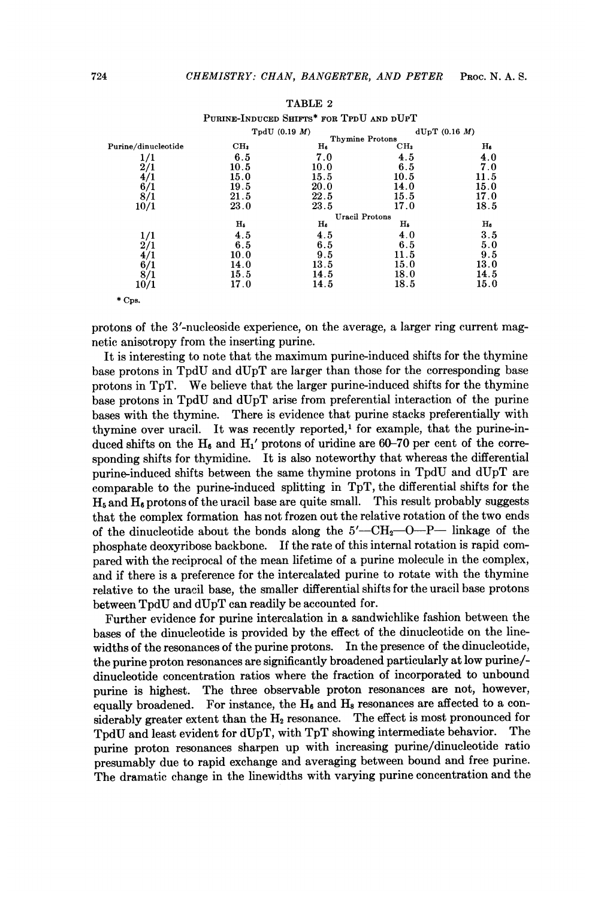|                     |                 | PURINE-INDUCED SHIFTS* FOR TPDU AND DUPT |                                         |      |  |  |
|---------------------|-----------------|------------------------------------------|-----------------------------------------|------|--|--|
|                     |                 | $TpdU$ (0.19 <i>M</i> )                  | dUpT (0.16 M)<br><b>Thymine Protons</b> |      |  |  |
|                     |                 |                                          |                                         |      |  |  |
| Purine/dinucleotide | CH <sub>3</sub> | H6                                       | CH <sub>3</sub>                         | H    |  |  |
| 1/1                 | 6.5             | 7.0                                      | 4.5                                     | 4.0  |  |  |
| 2/1                 | 10.5            | 10.0                                     | 6.5                                     | 7.0  |  |  |
| 4/1                 | 15.0            | 15.5                                     | 10.5                                    | 11.5 |  |  |
| 6/1                 | 19.5            | 20.0                                     | 14.0                                    | 15.0 |  |  |
| 8/1                 | 21.5            | 22.5                                     | 15.5                                    | 17.0 |  |  |
| 10/1                | 23.0            | 23.5                                     | 17.0                                    | 18.5 |  |  |
|                     | Uracil Protons  |                                          |                                         |      |  |  |
|                     | H.              | H,                                       | H۶                                      | H6   |  |  |
|                     | 4.5             | 4.5                                      | 4.0                                     | 3.5  |  |  |
| $\frac{1}{1}$       | 6.5             | 6.5                                      | 6.5                                     | 5.0  |  |  |
| 4/1                 | 10.0            | 9.5                                      | 11.5                                    | 9.5  |  |  |
| 6/1                 | 14.0            | 13.5                                     | 15.0                                    | 13.0 |  |  |
| 8/1                 | 15.5            | 14.5                                     | 18.0                                    | 14.5 |  |  |
| 10/1                | 17.0            | 14.5                                     | 18.5                                    | 15.0 |  |  |
| $*$ Cps.            |                 |                                          |                                         |      |  |  |

TABLE <sup>2</sup>

protons of the 3'-nucleoside experience, on the average, a larger ring current magnetic anisotropy from the inserting purine.

It is interesting to note that the maximum purine-induced shifts for the thymine base protons in TpdU and dUpT are larger than those for the corresponding base protons in TpT. We believe that the larger purine-induced shifts for the thymine base protons in TpdU and dUpT arise from preferential interaction of the purine bases with the thymine. There is evidence that purine stacks preferentially with thymine over uracil. It was recently reported,' for example, that the purine-induced shifts on the H<sub>6</sub> and H<sub>1</sub>' protons of uridine are 60–70 per cent of the corresponding shifts for thymidine. It is also noteworthy that whereas the differential purine-induced shifts between the same thymine protons in TpdU and dUpT are comparable to the purine-induced splitting in TpT, the differential shifts for the  $H_5$  and  $H_6$  protons of the uracil base are quite small. This result probably suggests that the complex formation has not frozen out the relative rotation of the two ends of the dinucleotide about the bonds along the  $5'$ -CH<sub>2</sub>-O-P- linkage of the phosphate deoxyribose backbone. If the rate of this internal rotation is rapid compared with the reciprocal of the mean lifetime of a purine molecule in the complex, and if there is a preference for the intercalated purine to rotate with the thymine relative to the uracil base, the smaller differential shifts for the uracil base protons between TpdU and dUpT can readily be accounted for.

Further evidence for purine intercalation in a sandwichlike fashion between the bases of the dinucleotide is provided by the effect of the dinucleotide on the linewidths of the resonances of the purine protons. In the presence of the dinucleotide, the purine proton resonances are significantly broadened particularly at low purine/ dinucleotide concentration ratios where the fraction of incorporated to unbound purine is highest. The three observable proton resonances are not, however, equally broadened. For instance, the  $H_6$  and  $H_8$  resonances are affected to a considerably greater extent than the  $H_2$  resonance. The effect is most pronounced for TpdU and least evident for dUpT, with TpT showing intermediate behavior. The purine proton resonances sharpen up with increasing purine/dinucleotide ratio presumably due to rapid exchange and averaging between bound and free purine. The dramatic change in the linewidths with varying purine concentration and the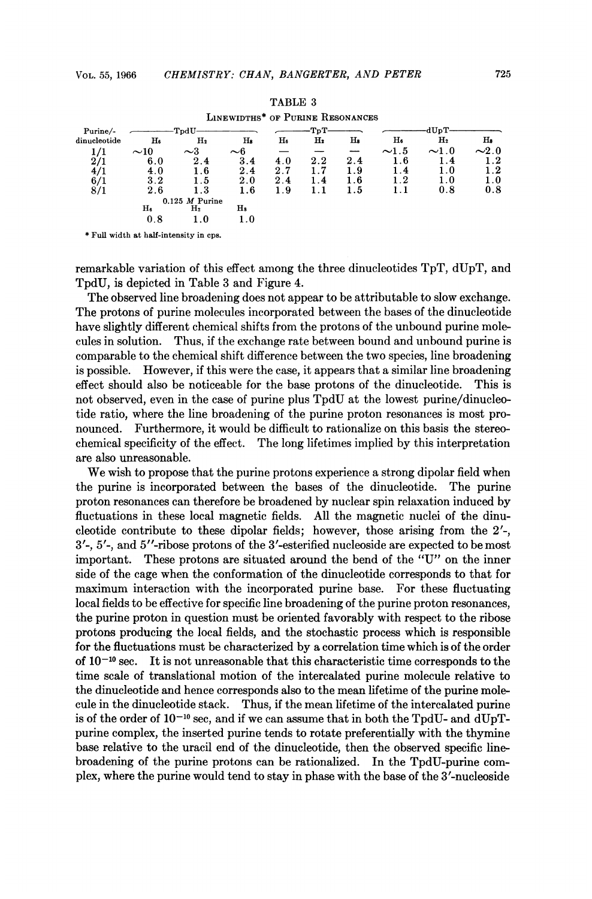|                                  |           |                |          | TABLE 3 |                |         |            |                |            |
|----------------------------------|-----------|----------------|----------|---------|----------------|---------|------------|----------------|------------|
| LINEWIDTHS* OF PURINE RESONANCES |           |                |          |         |                |         |            |                |            |
| Purine/-                         |           | TpdU-          |          |         | TpT            |         |            | dUpT           |            |
| dinucleotide                     | $H_6$     | $\rm{H}_{2}$   | Hs       | $H_6$   | H <sub>2</sub> | Hs      | H٥         | H <sub>2</sub> | H,         |
|                                  | $\sim$ 10 | $\sim$ 3       | $\sim$ 6 |         |                |         | $\sim$ 1.5 | $\sim$ 1.0     | $\sim$ 2.0 |
| 2/1                              | 6.0       | 2.4            | 3.4      | 4.0     | 2.2            | 2.4     | 1.6        | 1.4            | $^{.2}$    |
| 4/1                              | 4.0       | 1.6            | 2.4      | 2.7     |                | 1.9     | 1.4        | 1.0            | l . 2      |
| 6/1                              | 3.2       | 1.5            | 2.0      | 2.4     | 1.4            | $1.6\,$ | 1.2        | 1.0            | 1.0        |
| 8/1                              | 2.6       | 1.3            | $1.6\,$  | 1.9     |                | 1.5     |            | 0.8            | 0.8        |
| $0.125$ <i>M</i> Purine          |           |                |          |         |                |         |            |                |            |
|                                  | H٠        | H <sub>2</sub> | H,       |         |                |         |            |                |            |
|                                  | 0.8       | $1.0\,$        | 1.0      |         |                |         |            |                |            |

TABLE <sup>3</sup>

\* Full width at half-intensity in cps.

remarkable variation of this effect among the three dinucleotides TpT, dUpT, and TpdU, is depicted in Table 3 and Figure 4.

The observed line broadening does not appear to be attributable to slow exchange. The protons of purine molecules incorporated between the bases of the dinucleotide have slightly different chemical shifts from the protons of the unbound purine molecules in solution. Thus, if the exchange rate between bound and unbound purine is comparable to the chemical shift difference between the two species, line broadening is possible. However, if this were the case, it appears that a similar line broadening effect should also be noticeable for the base protons of the dinucleotide. This is not observed, even in the case of purine plus TpdU at the lowest purine/dinucleotide ratio, where the line broadening of the purine proton resonances is most pronounced. Furthermore, it would be difficult to rationalize on this basis the stereochemical specificity of the effect. The long lifetimes implied by this interpretation are also unreasonable.

We wish to propose that the purine protons experience <sup>a</sup> strong dipolar field when the purine is incorporated between the bases of the dinucleotide. The purine proton resonances can therefore be broadened by nuclear spin relaxation induced by fluctuations in these local magnetic fields. All the magnetic nuclei of the dinucleotide contribute to these dipolar fields; however, those arising from the <sup>2</sup>'-, <sup>3</sup>'-, <sup>5</sup>'-, and 5"-ribose protons of the <sup>3</sup>'-esterified nucleoside are expected to be most important. These protons are situated around the bend of the "U" on the inner side of the cage when the conformation of the dinucleotide corresponds to that for maximum interaction with the incorporated purine base. For these fluctuating local fields to be effective for specific line broadening of the purine proton resonances, the purine proton in question must be oriented favorably with respect to the ribose protons producing the local fields, and the stochastic process which is responsible for the fluctuations must be characterized by a correlation time which is of the order of  $10^{-10}$  sec. It is not unreasonable that this characteristic time corresponds to the time scale of translational motion of the intercalated purine molecule relative to the dinucleotide and hence corresponds also to the mean lifetime of the purine molecule in the dinucleotide stack. Thus, if the mean lifetime of the intercalated purine is of the order of  $10^{-10}$  sec, and if we can assume that in both the TpdU- and  $dUpT$ purine complex, the inserted purine tends to rotate preferentially with the thymine base relative to the uracil end of the dinucleotide, then the observed specific linebroadening of the purine protons can be rationalized. In the TpdU-purine complex, where the purine would tend to stay in phase with the base of the 3'-nucleoside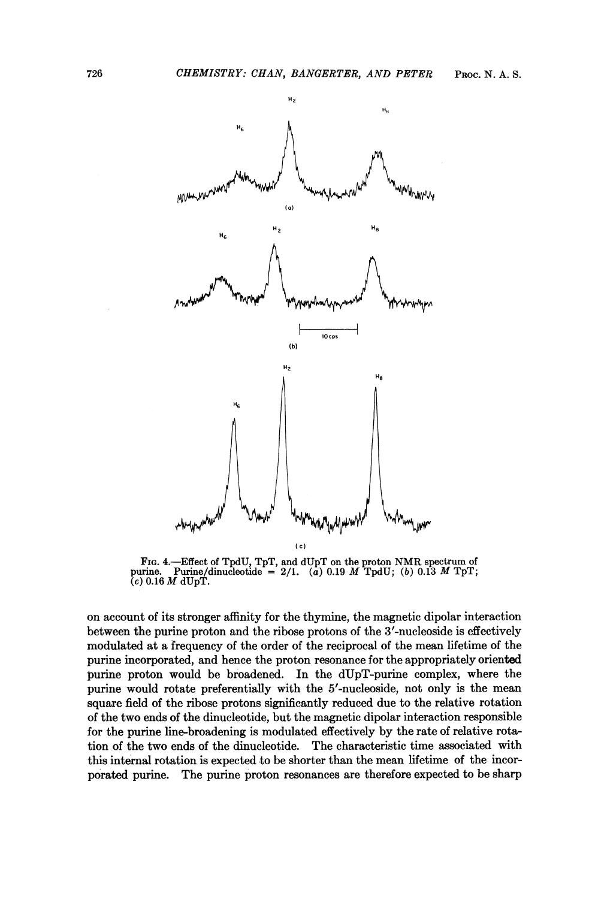

FIG. 4.—Effect of TpdU, TpT, and dUpT on the proton NMR spectrum of purine. Purine/dinucleotide =  $2/1$ . (a) 0.19 M TpdU; (b) 0.13 M TpT; purine. Purine/ $(c)$  0.16  $M$  dUpT.

on account of its stronger affinity for the thymine, the magnetic dipolar interaction between the purine proton and the ribose protons of the 3'-nucleoside is effectively modulated at a frequency of the order of the reciprocal of the mean lifetime of the purine incorporated, and hence the proton resonance for the appropriately oriented purine proton would be broadened. In the dUpT-purine complex, where the purine would rotate preferentially with the <sup>5</sup>'-nucleoside, not only is the mean square field of the ribose protons significantly reduced due to the relative rotation of the two ends of the dinucleotide, but the magnetic dipolar interaction responsible for the purine line-broadening is modulated effectively by the rate of relative rotation of the two ends of the dinucleotide. The characteristic time associated with this internal rotation is expected to be shorter than the mean lifetime of the incorporated purine. The purine proton resonances are therefore expected to be sharp